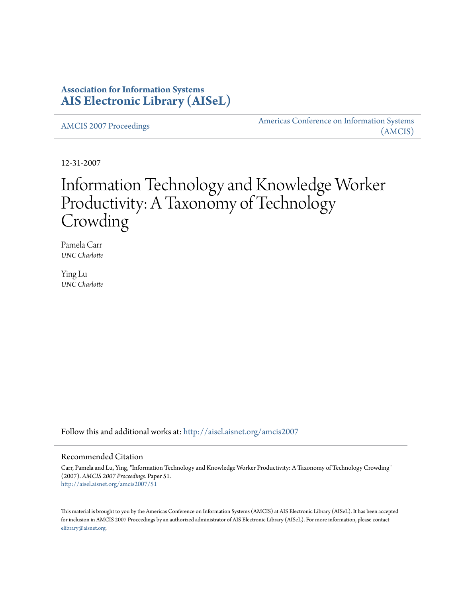## **Association for Information Systems [AIS Electronic Library \(AISeL\)](http://aisel.aisnet.org?utm_source=aisel.aisnet.org%2Famcis2007%2F51&utm_medium=PDF&utm_campaign=PDFCoverPages)**

[AMCIS 2007 Proceedings](http://aisel.aisnet.org/amcis2007?utm_source=aisel.aisnet.org%2Famcis2007%2F51&utm_medium=PDF&utm_campaign=PDFCoverPages)

[Americas Conference on Information Systems](http://aisel.aisnet.org/amcis?utm_source=aisel.aisnet.org%2Famcis2007%2F51&utm_medium=PDF&utm_campaign=PDFCoverPages) [\(AMCIS\)](http://aisel.aisnet.org/amcis?utm_source=aisel.aisnet.org%2Famcis2007%2F51&utm_medium=PDF&utm_campaign=PDFCoverPages)

12-31-2007

# Information Technology and Knowledge Worker Productivity: A Taxonomy of Technology Crowding

Pamela Carr *UNC Charlotte*

Ying Lu *UNC Charlotte*

Follow this and additional works at: [http://aisel.aisnet.org/amcis2007](http://aisel.aisnet.org/amcis2007?utm_source=aisel.aisnet.org%2Famcis2007%2F51&utm_medium=PDF&utm_campaign=PDFCoverPages)

### Recommended Citation

Carr, Pamela and Lu, Ying, "Information Technology and Knowledge Worker Productivity: A Taxonomy of Technology Crowding" (2007). *AMCIS 2007 Proceedings.* Paper 51. [http://aisel.aisnet.org/amcis2007/51](http://aisel.aisnet.org/amcis2007/51?utm_source=aisel.aisnet.org%2Famcis2007%2F51&utm_medium=PDF&utm_campaign=PDFCoverPages)

This material is brought to you by the Americas Conference on Information Systems (AMCIS) at AIS Electronic Library (AISeL). It has been accepted for inclusion in AMCIS 2007 Proceedings by an authorized administrator of AIS Electronic Library (AISeL). For more information, please contact [elibrary@aisnet.org.](mailto:elibrary@aisnet.org>)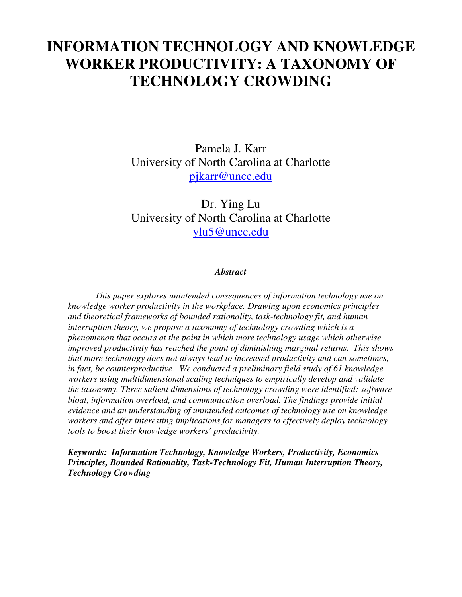# **INFORMATION TECHNOLOGY AND KNOWLEDGE WORKER PRODUCTIVITY: A TAXONOMY OF TECHNOLOGY CROWDING**

Pamela J. Karr University of North Carolina at Charlotte [pjkarr@uncc.edu](mailto:pjkarr@uncc.edu)

Dr. Ying Lu University of North Carolina at Charlotte [ylu5@uncc.edu](mailto:ylu5@uncc.edu)

## *Abstract*

*This paper explores unintended consequences of information technology use on knowledge worker productivity in the workplace. Drawing upon economics principles and theoretical frameworks of bounded rationality, task-technology fit, and human interruption theory, we propose a taxonomy of technology crowding which is a phenomenon that occurs at the point in which more technology usage which otherwise improved productivity has reached the point of diminishing marginal returns. This shows that more technology does not always lead to increased productivity and can sometimes, in fact, be counterproductive. We conducted a preliminary field study of 61 knowledge workers using multidimensional scaling techniques to empirically develop and validate the taxonomy. Three salient dimensions of technology crowding were identified: software bloat, information overload, and communication overload. The findings provide initial evidence and an understanding of unintended outcomes of technology use on knowledge workers and offer interesting implications for managers to effectively deploy technology tools to boost their knowledge workers' productivity.* 

*Keywords: Information Technology, Knowledge Workers, Productivity, Economics Principles, Bounded Rationality, Task-Technology Fit, Human Interruption Theory, Technology Crowding*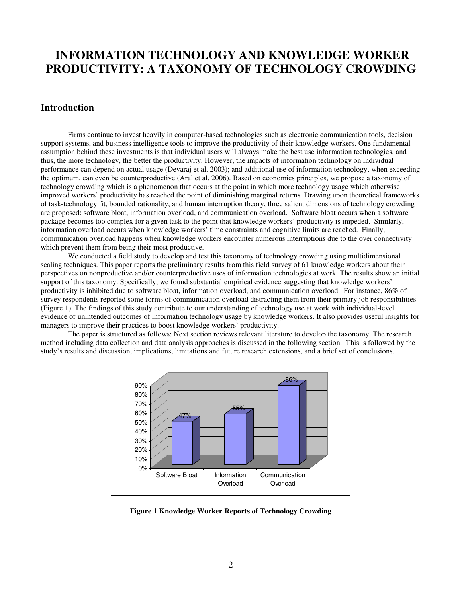## **INFORMATION TECHNOLOGY AND KNOWLEDGE WORKER PRODUCTIVITY: A TAXONOMY OF TECHNOLOGY CROWDING**

## **Introduction**

Firms continue to invest heavily in computer-based technologies such as electronic communication tools, decision support systems, and business intelligence tools to improve the productivity of their knowledge workers. One fundamental assumption behind these investments is that individual users will always make the best use information technologies, and thus, the more technology, the better the productivity. However, the impacts of information technology on individual performance can depend on actual usage (Devaraj et al. 2003); and additional use of information technology, when exceeding the optimum, can even be counterproductive (Aral et al. 2006). Based on economics principles, we propose a taxonomy of technology crowding which is a phenomenon that occurs at the point in which more technology usage which otherwise improved workers' productivity has reached the point of diminishing marginal returns. Drawing upon theoretical frameworks of task-technology fit, bounded rationality, and human interruption theory, three salient dimensions of technology crowding are proposed: software bloat, information overload, and communication overload. Software bloat occurs when a software package becomes too complex for a given task to the point that knowledge workers' productivity is impeded. Similarly, information overload occurs when knowledge workers' time constraints and cognitive limits are reached. Finally, communication overload happens when knowledge workers encounter numerous interruptions due to the over connectivity which prevent them from being their most productive.

We conducted a field study to develop and test this taxonomy of technology crowding using multidimensional scaling techniques. This paper reports the preliminary results from this field survey of 61 knowledge workers about their perspectives on nonproductive and/or counterproductive uses of information technologies at work. The results show an initial support of this taxonomy. Specifically, we found substantial empirical evidence suggesting that knowledge workers' productivity is inhibited due to software bloat, information overload, and communication overload. For instance, 86% of survey respondents reported some forms of communication overload distracting them from their primary job responsibilities (Figure 1). The findings of this study contribute to our understanding of technology use at work with individual-level evidence of unintended outcomes of information technology usage by knowledge workers. It also provides useful insights for managers to improve their practices to boost knowledge workers' productivity.

The paper is structured as follows: Next section reviews relevant literature to develop the taxonomy. The research method including data collection and data analysis approaches is discussed in the following section. This is followed by the study's results and discussion, implications, limitations and future research extensions, and a brief set of conclusions.



**Figure 1 Knowledge Worker Reports of Technology Crowding**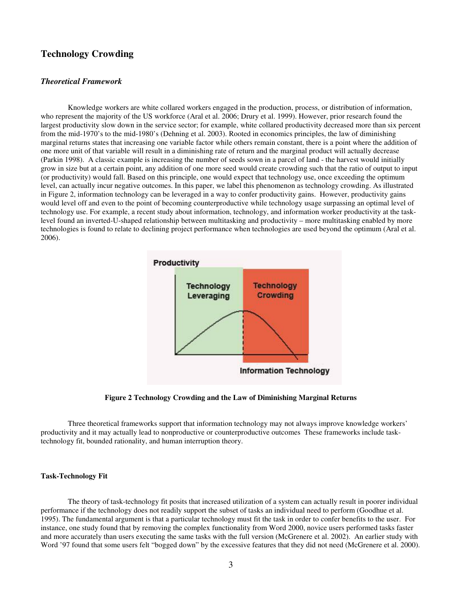## **Technology Crowding**

#### *Theoretical Framework*

Knowledge workers are white collared workers engaged in the production, process, or distribution of information, who represent the majority of the US workforce (Aral et al. 2006; Drury et al. 1999). However, prior research found the largest productivity slow down in the service sector; for example, white collared productivity decreased more than six percent from the mid-1970's to the mid-1980's (Dehning et al. 2003). Rooted in economics principles, the law of diminishing marginal returns states that increasing one variable factor while others remain constant, there is a point where the addition of one more unit of that variable will result in a diminishing rate of return and the marginal product will actually decrease (Parkin 1998). A classic example is increasing the number of seeds sown in a parcel of land - the harvest would initially grow in size but at a certain point, any addition of one more seed would create crowding such that the ratio of output to input (or productivity) would fall. Based on this principle, one would expect that technology use, once exceeding the optimum level, can actually incur negative outcomes. In this paper, we label this phenomenon as technology crowding. As illustrated in Figure 2, information technology can be leveraged in a way to confer productivity gains. However, productivity gains would level off and even to the point of becoming counterproductive while technology usage surpassing an optimal level of technology use. For example, a recent study about information, technology, and information worker productivity at the tasklevel found an inverted-U-shaped relationship between multitasking and productivity – more multitasking enabled by more technologies is found to relate to declining project performance when technologies are used beyond the optimum (Aral et al. 2006).





Three theoretical frameworks support that information technology may not always improve knowledge workers' productivity and it may actually lead to nonproductive or counterproductive outcomes These frameworks include tasktechnology fit, bounded rationality, and human interruption theory.

#### **Task-Technology Fit**

The theory of task-technology fit posits that increased utilization of a system can actually result in poorer individual performance if the technology does not readily support the subset of tasks an individual need to perform (Goodhue et al. 1995). The fundamental argument is that a particular technology must fit the task in order to confer benefits to the user. For instance, one study found that by removing the complex functionality from Word 2000, novice users performed tasks faster and more accurately than users executing the same tasks with the full version (McGrenere et al. 2002). An earlier study with Word '97 found that some users felt "bogged down" by the excessive features that they did not need (McGrenere et al. 2000).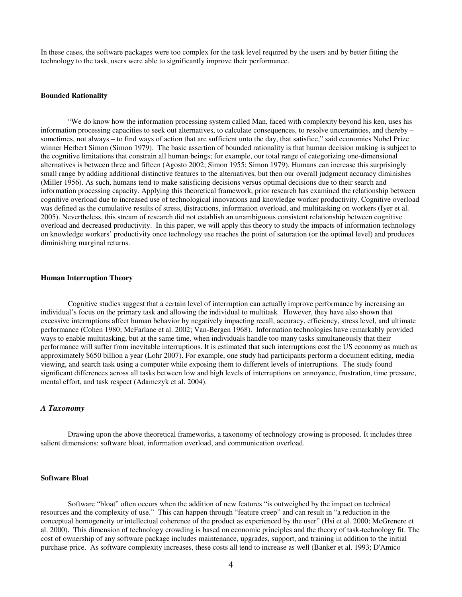In these cases, the software packages were too complex for the task level required by the users and by better fitting the technology to the task, users were able to significantly improve their performance.

#### **Bounded Rationality**

"We do know how the information processing system called Man, faced with complexity beyond his ken, uses his information processing capacities to seek out alternatives, to calculate consequences, to resolve uncertainties, and thereby – sometimes, not always – to find ways of action that are sufficient unto the day, that satisfice," said economics Nobel Prize winner Herbert Simon (Simon 1979). The basic assertion of bounded rationality is that human decision making is subject to the cognitive limitations that constrain all human beings; for example, our total range of categorizing one-dimensional alternatives is between three and fifteen (Agosto 2002; Simon 1955; Simon 1979). Humans can increase this surprisingly small range by adding additional distinctive features to the alternatives, but then our overall judgment accuracy diminishes (Miller 1956). As such, humans tend to make satisficing decisions versus optimal decisions due to their search and information processing capacity. Applying this theoretical framework, prior research has examined the relationship between cognitive overload due to increased use of technological innovations and knowledge worker productivity. Cognitive overload was defined as the cumulative results of stress, distractions, information overload, and multitasking on workers (Iyer et al. 2005). Nevertheless, this stream of research did not establish an unambiguous consistent relationship between cognitive overload and decreased productivity. In this paper, we will apply this theory to study the impacts of information technology on knowledge workers' productivity once technology use reaches the point of saturation (or the optimal level) and produces diminishing marginal returns.

#### **Human Interruption Theory**

Cognitive studies suggest that a certain level of interruption can actually improve performance by increasing an individual's focus on the primary task and allowing the individual to multitask However, they have also shown that excessive interruptions affect human behavior by negatively impacting recall, accuracy, efficiency, stress level, and ultimate performance (Cohen 1980; McFarlane et al. 2002; Van-Bergen 1968). Information technologies have remarkably provided ways to enable multitasking, but at the same time, when individuals handle too many tasks simultaneously that their performance will suffer from inevitable interruptions. It is estimated that such interruptions cost the US economy as much as approximately \$650 billion a year (Lohr 2007). For example, one study had participants perform a document editing, media viewing, and search task using a computer while exposing them to different levels of interruptions. The study found significant differences across all tasks between low and high levels of interruptions on annoyance, frustration, time pressure, mental effort, and task respect (Adamczyk et al. 2004).

### *A Taxonomy*

Drawing upon the above theoretical frameworks, a taxonomy of technology crowing is proposed. It includes three salient dimensions: software bloat, information overload, and communication overload.

#### **Software Bloat**

Software "bloat" often occurs when the addition of new features "is outweighed by the impact on technical resources and the complexity of use." This can happen through "feature creep" and can result in "a reduction in the conceptual homogeneity or intellectual coherence of the product as experienced by the user" (Hsi et al. 2000; McGrenere et al. 2000). This dimension of technology crowding is based on economic principles and the theory of task-technology fit. The cost of ownership of any software package includes maintenance, upgrades, support, and training in addition to the initial purchase price. As software complexity increases, these costs all tend to increase as well (Banker et al. 1993; D'Amico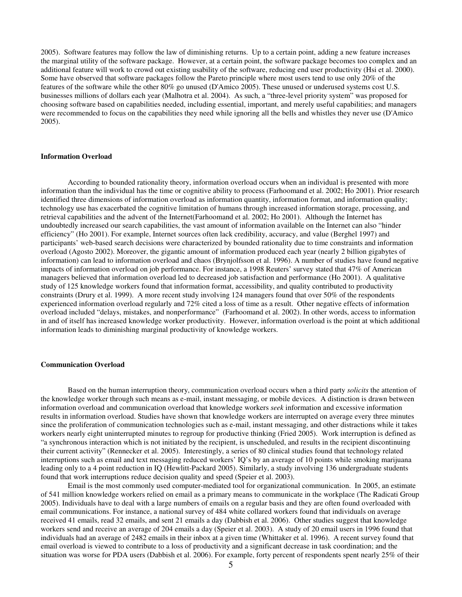2005). Software features may follow the law of diminishing returns. Up to a certain point, adding a new feature increases the marginal utility of the software package. However, at a certain point, the software package becomes too complex and an additional feature will work to crowd out existing usability of the software, reducing end user productivity (Hsi et al. 2000). Some have observed that software packages follow the Pareto principle where most users tend to use only 20% of the features of the software while the other 80% go unused (D'Amico 2005). These unused or underused systems cost U.S. businesses millions of dollars each year (Malhotra et al. 2004). As such, a "three-level priority system" was proposed for choosing software based on capabilities needed, including essential, important, and merely useful capabilities; and managers were recommended to focus on the capabilities they need while ignoring all the bells and whistles they never use (D'Amico 2005).

#### **Information Overload**

According to bounded rationality theory, information overload occurs when an individual is presented with more information than the individual has the time or cognitive ability to process (Farhoomand et al. 2002; Ho 2001). Prior research identified three dimensions of information overload as information quantity, information format, and information quality; technology use has exacerbated the cognitive limitation of humans through increased information storage, processing, and retrieval capabilities and the advent of the Internet(Farhoomand et al. 2002; Ho 2001). Although the Internet has undoubtedly increased our search capabilities, the vast amount of information available on the Internet can also "hinder efficiency" (Ho 2001). For example, Internet sources often lack credibility, accuracy, and value (Berghel 1997) and participants' web-based search decisions were characterized by bounded rationality due to time constraints and information overload (Agosto 2002). Moreover, the gigantic amount of information produced each year (nearly 2 billion gigabytes of information) can lead to information overload and chaos (Brynjolfsson et al. 1996). A number of studies have found negative impacts of information overload on job performance. For instance, a 1998 Reuters' survey stated that 47% of American managers believed that information overload led to decreased job satisfaction and performance (Ho 2001). A qualitative study of 125 knowledge workers found that information format, accessibility, and quality contributed to productivity constraints (Drury et al. 1999). A more recent study involving 124 managers found that over 50% of the respondents experienced information overload regularly and 72% cited a loss of time as a result. Other negative effects of information overload included "delays, mistakes, and nonperformance" (Farhoomand et al. 2002). In other words, access to information in and of itself has increased knowledge worker productivity. However, information overload is the point at which additional information leads to diminishing marginal productivity of knowledge workers.

#### **Communication Overload**

Based on the human interruption theory, communication overload occurs when a third party *solicits* the attention of the knowledge worker through such means as e-mail, instant messaging, or mobile devices. A distinction is drawn between information overload and communication overload that knowledge workers *seek* information and excessive information results in information overload. Studies have shown that knowledge workers are interrupted on average every three minutes since the proliferation of communication technologies such as e-mail, instant messaging, and other distractions while it takes workers nearly eight uninterrupted minutes to regroup for productive thinking (Fried 2005). Work interruption is defined as "a synchronous interaction which is not initiated by the recipient, is unscheduled, and results in the recipient discontinuing their current activity" (Rennecker et al. 2005). Interestingly, a series of 80 clinical studies found that technology related interruptions such as email and text messaging reduced workers' IQ's by an average of 10 points while smoking marijuana leading only to a 4 point reduction in IQ (Hewlitt-Packard 2005). Similarly, a study involving 136 undergraduate students found that work interruptions reduce decision quality and speed (Speier et al. 2003).

Email is the most commonly used computer-mediated tool for organizational communication. In 2005, an estimate of 541 million knowledge workers relied on email as a primary means to communicate in the workplace (The Radicati Group 2005). Individuals have to deal with a large numbers of emails on a regular basis and they are often found overloaded with email communications. For instance, a national survey of 484 white collared workers found that individuals on average received 41 emails, read 32 emails, and sent 21 emails a day (Dabbish et al. 2006). Other studies suggest that knowledge workers send and receive an average of 204 emails a day (Speier et al. 2003). A study of 20 email users in 1996 found that individuals had an average of 2482 emails in their inbox at a given time (Whittaker et al. 1996). A recent survey found that email overload is viewed to contribute to a loss of productivity and a significant decrease in task coordination; and the situation was worse for PDA users (Dabbish et al. 2006). For example, forty percent of respondents spent nearly 25% of their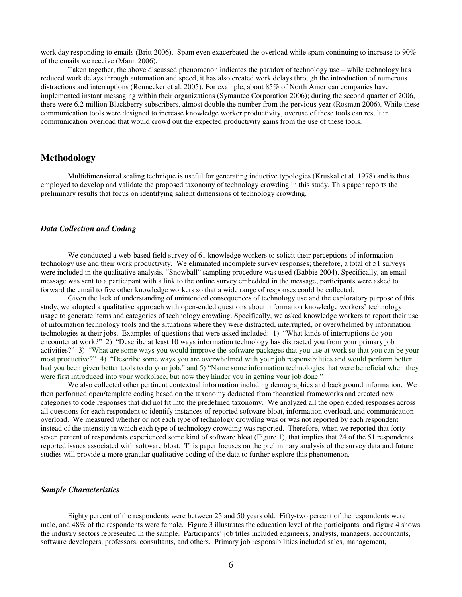work day responding to emails (Britt 2006). Spam even exacerbated the overload while spam continuing to increase to 90% of the emails we receive (Mann 2006).

Taken together, the above discussed phenomenon indicates the paradox of technology use – while technology has reduced work delays through automation and speed, it has also created work delays through the introduction of numerous distractions and interruptions (Rennecker et al. 2005). For example, about 85% of North American companies have implemented instant messaging within their organizations (Symantec Corporation 2006); during the second quarter of 2006, there were 6.2 million Blackberry subscribers, almost double the number from the pervious year (Rosman 2006). While these communication tools were designed to increase knowledge worker productivity, overuse of these tools can result in communication overload that would crowd out the expected productivity gains from the use of these tools.

## **Methodology**

Multidimensional scaling technique is useful for generating inductive typologies (Kruskal et al. 1978) and is thus employed to develop and validate the proposed taxonomy of technology crowding in this study. This paper reports the preliminary results that focus on identifying salient dimensions of technology crowding.

#### *Data Collection and Coding*

We conducted a web-based field survey of 61 knowledge workers to solicit their perceptions of information technology use and their work productivity. We eliminated incomplete survey responses; therefore, a total of 51 surveys were included in the qualitative analysis. "Snowball" sampling procedure was used (Babbie 2004). Specifically, an email message was sent to a participant with a link to the online survey embedded in the message; participants were asked to forward the email to five other knowledge workers so that a wide range of responses could be collected.

Given the lack of understanding of unintended consequences of technology use and the exploratory purpose of this study, we adopted a qualitative approach with open-ended questions about information knowledge workers' technology usage to generate items and categories of technology crowding. Specifically, we asked knowledge workers to report their use of information technology tools and the situations where they were distracted, interrupted, or overwhelmed by information technologies at their jobs. Examples of questions that were asked included: 1) "What kinds of interruptions do you encounter at work?" 2) "Describe at least 10 ways information technology has distracted you from your primary job activities?" 3) "What are some ways you would improve the software packages that you use at work so that you can be your most productive?" 4) "Describe some ways you are overwhelmed with your job responsibilities and would perform better had you been given better tools to do your job." and 5) "Name some information technologies that were beneficial when they were first introduced into your workplace, but now they hinder you in getting your job done."

We also collected other pertinent contextual information including demographics and background information. We then performed open/template coding based on the taxonomy deducted from theoretical frameworks and created new categories to code responses that did not fit into the predefined taxonomy. We analyzed all the open ended responses across all questions for each respondent to identify instances of reported software bloat, information overload, and communication overload. We measured whether or not each type of technology crowding was or was not reported by each respondent instead of the intensity in which each type of technology crowding was reported. Therefore, when we reported that fortyseven percent of respondents experienced some kind of software bloat (Figure 1), that implies that 24 of the 51 respondents reported issues associated with software bloat. This paper focuses on the preliminary analysis of the survey data and future studies will provide a more granular qualitative coding of the data to further explore this phenomenon.

### *Sample Characteristics*

Eighty percent of the respondents were between 25 and 50 years old. Fifty-two percent of the respondents were male, and 48% of the respondents were female. Figure 3 illustrates the education level of the participants, and figure 4 shows the industry sectors represented in the sample. Participants' job titles included engineers, analysts, managers, accountants, software developers, professors, consultants, and others. Primary job responsibilities included sales, management,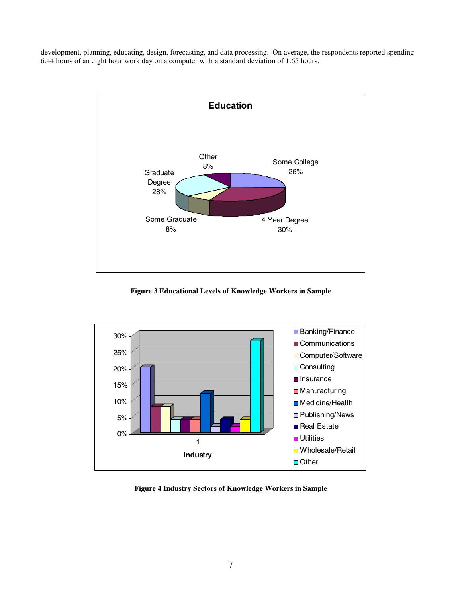development, planning, educating, design, forecasting, and data processing. On average, the respondents reported spending 6.44 hours of an eight hour work day on a computer with a standard deviation of 1.65 hours.



**Figure 3 Educational Levels of Knowledge Workers in Sample**



**Figure 4 Industry Sectors of Knowledge Workers in Sample**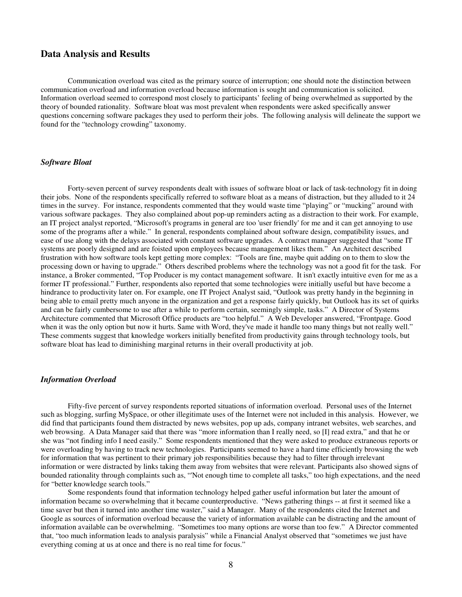## **Data Analysis and Results**

Communication overload was cited as the primary source of interruption; one should note the distinction between communication overload and information overload because information is sought and communication is solicited. Information overload seemed to correspond most closely to participants' feeling of being overwhelmed as supported by the theory of bounded rationality. Software bloat was most prevalent when respondents were asked specifically answer questions concerning software packages they used to perform their jobs. The following analysis will delineate the support we found for the "technology crowding" taxonomy.

#### *Software Bloat*

Forty-seven percent of survey respondents dealt with issues of software bloat or lack of task-technology fit in doing their jobs. None of the respondents specifically referred to software bloat as a means of distraction, but they alluded to it 24 times in the survey. For instance, respondents commented that they would waste time "playing" or "mucking" around with various software packages. They also complained about pop-up reminders acting as a distraction to their work. For example, an IT project analyst reported, "Microsoft's programs in general are too 'user friendly' for me and it can get annoying to use some of the programs after a while." In general, respondents complained about software design, compatibility issues, and ease of use along with the delays associated with constant software upgrades. A contract manager suggested that "some IT systems are poorly designed and are foisted upon employees because management likes them." An Architect described frustration with how software tools kept getting more complex: "Tools are fine, maybe quit adding on to them to slow the processing down or having to upgrade." Others described problems where the technology was not a good fit for the task. For instance, a Broker commented, "Top Producer is my contact management software. It isn't exactly intuitive even for me as a former IT professional." Further, respondents also reported that some technologies were initially useful but have become a hindrance to productivity later on. For example, one IT Project Analyst said, "Outlook was pretty handy in the beginning in being able to email pretty much anyone in the organization and get a response fairly quickly, but Outlook has its set of quirks and can be fairly cumbersome to use after a while to perform certain, seemingly simple, tasks." A Director of Systems Architecture commented that Microsoft Office products are "too helpful." A Web Developer answered, "Frontpage. Good when it was the only option but now it hurts. Same with Word, they've made it handle too many things but not really well." These comments suggest that knowledge workers initially benefited from productivity gains through technology tools, but software bloat has lead to diminishing marginal returns in their overall productivity at job.

#### *Information Overload*

Fifty-five percent of survey respondents reported situations of information overload. Personal uses of the Internet such as blogging, surfing MySpace, or other illegitimate uses of the Internet were not included in this analysis. However, we did find that participants found them distracted by news websites, pop up ads, company intranet websites, web searches, and web browsing. A Data Manager said that there was "more information than I really need, so [I] read extra," and that he or she was "not finding info I need easily." Some respondents mentioned that they were asked to produce extraneous reports or were overloading by having to track new technologies. Participants seemed to have a hard time efficiently browsing the web for information that was pertinent to their primary job responsibilities because they had to filter through irrelevant information or were distracted by links taking them away from websites that were relevant. Participants also showed signs of bounded rationality through complaints such as, "'Not enough time to complete all tasks," too high expectations, and the need for "better knowledge search tools."

Some respondents found that information technology helped gather useful information but later the amount of information became so overwhelming that it became counterproductive. "News gathering things -- at first it seemed like a time saver but then it turned into another time waster," said a Manager. Many of the respondents cited the Internet and Google as sources of information overload because the variety of information available can be distracting and the amount of information available can be overwhelming. "Sometimes too many options are worse than too few." A Director commented that, "too much information leads to analysis paralysis" while a Financial Analyst observed that "sometimes we just have everything coming at us at once and there is no real time for focus."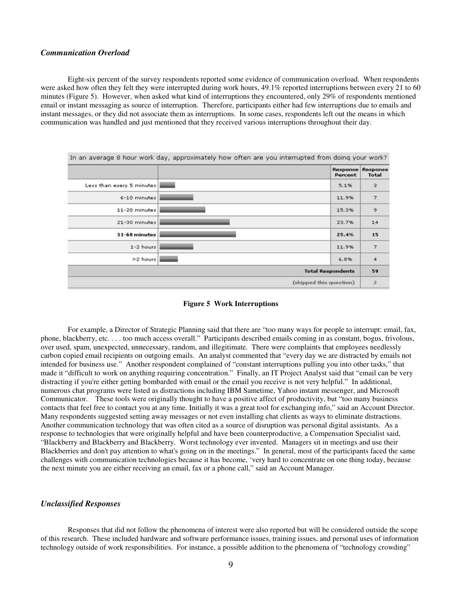#### *Communication Overload*

Eight-six percent of the survey respondents reported some evidence of communication overload. When respondents were asked how often they felt they were interrupted during work hours, 49.1% reported interruptions between every 21 to 60 minutes (Figure 5). However, when asked what kind of interruptions they encountered, only 29% of respondents mentioned email or instant messaging as source of interruption. Therefore, participants either had few interruptions due to emails and instant messages, or they did not associate them as interruptions. In some cases, respondents left out the means in which communication was handled and just mentioned that they received various interruptions throughout their day.

|                           | Response<br>Percent      | Response<br><b>Total</b> |
|---------------------------|--------------------------|--------------------------|
| Less than every 5 minutes | 5.1%                     | 3                        |
| 6-10 minutes              | 11.9%                    | $\overline{7}$           |
| 11-20 minutes             | 15.3%                    | $\mathsf{9}$             |
| 21-30 minutes             | 23.7%                    | 14                       |
| 31-60 minutes             | 25.4%                    | 15                       |
| $1-2$ hours               | 11.9%                    | $\overline{\mathbf{z}}$  |
| >2 hours                  | 6.8%                     | $\overline{4}$           |
|                           | <b>Total Respondents</b> | 59                       |
|                           | (skipped this question)  | $\overline{z}$           |



For example, a Director of Strategic Planning said that there are "too many ways for people to interrupt: email, fax, phone, blackberry, etc. . . . too much access overall." Participants described emails coming in as constant, bogus, frivolous, over used, spam, unexpected, unnecessary, random, and illegitimate. There were complaints that employees needlessly carbon copied email recipients on outgoing emails. An analyst commented that "every day we are distracted by emails not intended for business use." Another respondent complained of "constant interruptions pulling you into other tasks," that made it "difficult to work on anything requiring concentration." Finally, an IT Project Analyst said that "email can be very distracting if you're either getting bombarded with email or the email you receive is not very helpful." In additional, numerous chat programs were listed as distractions including IBM Sametime, Yahoo instant messenger, and Microsoft Communicator. These tools were originally thought to have a positive affect of productivity, but "too many business contacts that feel free to contact you at any time. Initially it was a great tool for exchanging info," said an Account Director. Many respondents suggested setting away messages or not even installing chat clients as ways to eliminate distractions. Another communication technology that was often cited as a source of disruption was personal digital assistants. As a response to technologies that were originally helpful and have been counterproductive, a Compensation Specialist said, "Blackberry and Blackberry and Blackberry. Worst technology ever invented. Managers sit in meetings and use their Blackberries and don't pay attention to what's going on in the meetings." In general, most of the participants faced the same challenges with communication technologies because it has become, 'very hard to concentrate on one thing today, because the next minute you are either receiving an email, fax or a phone call," said an Account Manager.

#### *Unclassified Responses*

Responses that did not follow the phenomena of interest were also reported but will be considered outside the scope of this research. These included hardware and software performance issues, training issues, and personal uses of information technology outside of work responsibilities. For instance, a possible addition to the phenomena of "technology crowding"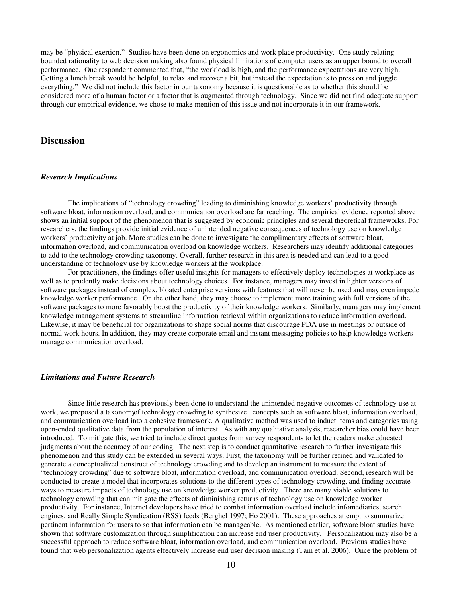may be "physical exertion." Studies have been done on ergonomics and work place productivity. One study relating bounded rationality to web decision making also found physical limitations of computer users as an upper bound to overall performance. One respondent commented that, "the workload is high, and the performance expectations are very high. Getting a lunch break would be helpful, to relax and recover a bit, but instead the expectation is to press on and juggle everything." We did not include this factor in our taxonomy because it is questionable as to whether this should be considered more of a human factor or a factor that is augmented through technology. Since we did not find adequate support through our empirical evidence, we chose to make mention of this issue and not incorporate it in our framework.

## **Discussion**

#### *Research Implications*

The implications of "technology crowding" leading to diminishing knowledge workers' productivity through software bloat, information overload, and communication overload are far reaching. The empirical evidence reported above shows an initial support of the phenomenon that is suggested by economic principles and several theoretical frameworks. For researchers, the findings provide initial evidence of unintended negative consequences of technology use on knowledge workers' productivity at job. More studies can be done to investigate the complimentary effects of software bloat, information overload, and communication overload on knowledge workers. Researchers may identify additional categories to add to the technology crowding taxonomy. Overall, further research in this area is needed and can lead to a good understanding of technology use by knowledge workers at the workplace.

For practitioners, the findings offer useful insights for managers to effectively deploy technologies at workplace as well as to prudently make decisions about technology choices. For instance, managers may invest in lighter versions of software packages instead of complex, bloated enterprise versions with features that will never be used and may even impede knowledge worker performance. On the other hand, they may choose to implement more training with full versions of the software packages to more favorably boost the productivity of their knowledge workers. Similarly, managers may implement knowledge management systems to streamline information retrieval within organizations to reduce information overload. Likewise, it may be beneficial for organizations to shape social norms that discourage PDA use in meetings or outside of normal work hours. In addition, they may create corporate email and instant messaging policies to help knowledge workers manage communication overload.

#### *Limitations and Future Research*

Since little research has previously been done to understand the unintended negative outcomes of technology use at work, we proposed a taxonomy of technology crowding to synthesize concepts such as software bloat, information overload, and communication overload into a cohesive framework. A qualitative method was used to induct items and categories using open-ended qualitative data from the population of interest. As with any qualitative analysis, researcher bias could have been introduced. To mitigate this, we tried to include direct quotes from survey respondents to let the readers make educated judgments about the accuracy of our coding. The next step is to conduct quantitative research to further investigate this phenomenon and this study can be extended in several ways. First, the taxonomy will be further refined and validated to generate a conceptualized construct of technology crowding and to develop an instrument to measure the extent of "technology crowding" due to software bloat, information overload, and communication overload. Second, research will be conducted to create a model that incorporates solutions to the different types of technology crowding, and finding accurate ways to measure impacts of technology use on knowledge worker productivity. There are many viable solutions to technology crowding that can mitigate the effects of diminishing returns of technology use on knowledge worker productivity. For instance, Internet developers have tried to combat information overload include infomediaries, search engines, and Really Simple Syndication (RSS) feeds (Berghel 1997; Ho 2001). These approaches attempt to summarize pertinent information for users to so that information can be manageable. As mentioned earlier, software bloat studies have shown that software customization through simplification can increase end user productivity. Personalization may also be a successful approach to reduce software bloat, information overload, and communication overload. Previous studies have found that web personalization agents effectively increase end user decision making (Tam et al. 2006). Once the problem of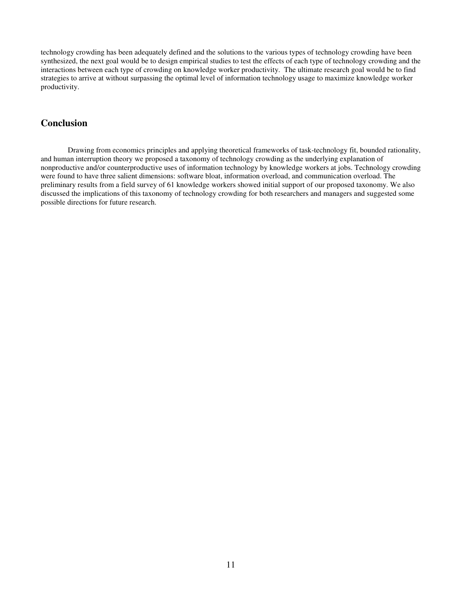technology crowding has been adequately defined and the solutions to the various types of technology crowding have been synthesized, the next goal would be to design empirical studies to test the effects of each type of technology crowding and the interactions between each type of crowding on knowledge worker productivity. The ultimate research goal would be to find strategies to arrive at without surpassing the optimal level of information technology usage to maximize knowledge worker productivity.

## **Conclusion**

Drawing from economics principles and applying theoretical frameworks of task-technology fit, bounded rationality, and human interruption theory we proposed a taxonomy of technology crowding as the underlying explanation of nonproductive and/or counterproductive uses of information technology by knowledge workers at jobs. Technology crowding were found to have three salient dimensions: software bloat, information overload, and communication overload. The preliminary results from a field survey of 61 knowledge workers showed initial support of our proposed taxonomy. We also discussed the implications of this taxonomy of technology crowding for both researchers and managers and suggested some possible directions for future research.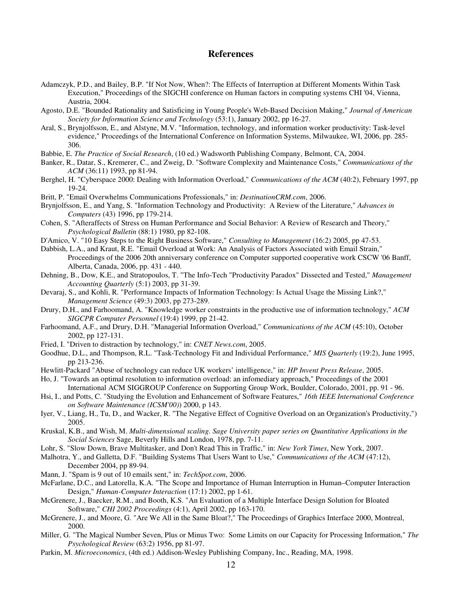## **References**

- Adamczyk, P.D., and Bailey, B.P. "If Not Now, When?: The Effects of Interruption at Different Moments Within Task Execution," Proceedings of the SIGCHI conference on Human factors in computing systems CHI '04, Vienna, Austria, 2004.
- Agosto, D.E. "Bounded Rationality and Satisficing in Young People's Web-Based Decision Making," *Journal of American Society for Information Science and Technology* (53:1), January 2002, pp 16-27.
- Aral, S., Brynjolfsson, E., and Alstyne, M.V. "Information, technology, and information worker productivity: Task-level evidence," Proceedings of the International Conference on Information Systems, Milwaukee, WI, 2006, pp. 285- 306.
- Babbie, E. *The Practice of Social Research*, (10 ed.) Wadsworth Publishing Company, Belmont, CA, 2004.
- Banker, R., Datar, S., Kremerer, C., and Zweig, D. "Software Complexity and Maintenance Costs," *Communications of the ACM* (36:11) 1993, pp 81-94.
- Berghel, H. "Cyberspace 2000: Dealing with Information Overload," *Communications of the ACM* (40:2), February 1997, pp 19-24.
- Britt, P. "Email Overwhelms Communications Professionals," in: *DestinationCRM.com*, 2006.
- Brynjolfsson, E., and Yang, S. "Information Technology and Productivity: A Review of the Literature," *Advances in Computers* (43) 1996, pp 179-214.
- Cohen, S. "Afteraffects of Stress on Human Performance and Social Behavior: A Review of Research and Theory," *Psychological Bulletin* (88:1) 1980, pp 82-108.
- D'Amico, V. "10 Easy Steps to the Right Business Software," *Consulting to Management* (16:2) 2005, pp 47-53.
- Dabbish, L.A., and Kraut, R.E. "Email Overload at Work: An Analysis of Factors Associated with Email Strain," Proceedings of the 2006 20th anniversary conference on Computer supported cooperative work CSCW '06 Banff, Alberta, Canada, 2006, pp. 431 - 440.
- Dehning, B., Dow, K.E., and Stratopoulos, T. "The Info-Tech "Productivity Paradox" Dissected and Tested," *Management Accounting Quarterly* (5:1) 2003, pp 31-39.
- Devaraj, S., and Kohli, R. "Performance Impacts of Information Technology: Is Actual Usage the Missing Link?," *Management Science* (49:3) 2003, pp 273-289.
- Drury, D.H., and Farhoomand, A. "Knowledge worker constraints in the productive use of information technology," *ACM SIGCPR Computer Personnel* (19:4) 1999, pp 21-42.
- Farhoomand, A.F., and Drury, D.H. "Managerial Information Overload," *Communications of the ACM* (45:10), October 2002, pp 127-131.
- Fried, I. "Driven to distraction by technology," in: *CNET News.com*, 2005.
- Goodhue, D.L., and Thompson, R.L. "Task-Technology Fit and Individual Performance," *MIS Quarterly* (19:2), June 1995, pp 213-236.
- Hewlitt-Packard "Abuse of technology can reduce UK workers' intelligence," in: *HP Invent Press Release*, 2005.
- Ho, J. "Towards an optimal resolution to information overload: an infomediary approach," Proceedings of the 2001 International ACM SIGGROUP Conference on Supporting Group Work, Boulder, Colorado, 2001, pp. 91 - 96.
- Hsi, I., and Potts, C. "Studying the Evolution and Enhancement of Software Features," *16th IEEE International Conference on Software Maintenance (ICSM'00)*) 2000, p 143.
- Iyer, V., Liang, H., Tu, D., and Wacker, R. "The Negative Effect of Cognitive Overload on an Organization's Productivity,") 2005.
- Kruskal, K.B., and Wish, M. *Multi-dimensional scaling. Sage University paper series on Quantitative Applications in the Social Sciences* Sage, Beverly Hills and London, 1978, pp. 7-11.
- Lohr, S. "Slow Down, Brave Multitasker, and Don't Read This in Traffic," in: *New York Times*, New York, 2007.
- Malhotra, Y., and Galletta, D.F. "Building Systems That Users Want to Use," *Communications of the ACM* (47:12), December 2004, pp 89-94.
- Mann, J. "Spam is 9 out of 10 emails sent," in: *TechSpot.com*, 2006.
- McFarlane, D.C., and Latorella, K.A. "The Scope and Importance of Human Interruption in Human–Computer Interaction Design," *Human-Computer Interaction* (17:1) 2002, pp 1-61.
- McGrenere, J., Baecker, R.M., and Booth, K.S. "An Evaluation of a Multiple Interface Design Solution for Bloated Software," *CHI 2002 Proceedings* (4:1), April 2002, pp 163-170.
- McGrenere, J., and Moore, G. "Are We All in the Same Bloat?," The Proceedings of Graphics Interface 2000, Montreal, 2000.
- Miller, G. "The Magical Number Seven, Plus or Minus Two: Some Limits on our Capacity for Processing Information," *The Psychological Review* (63:2) 1956, pp 81-97.
- Parkin, M. *Microeconomics*, (4th ed.) Addison-Wesley Publishing Company, Inc., Reading, MA, 1998.